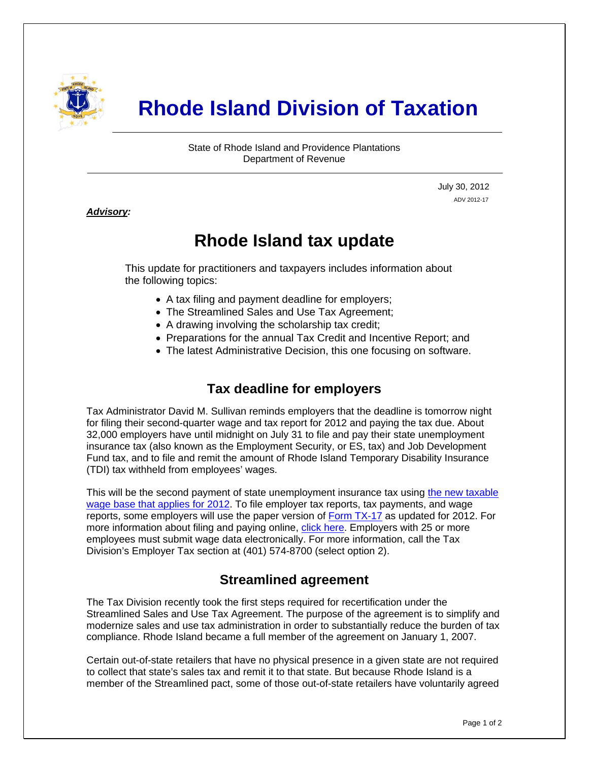

# **Rhode Island Division of Taxation**

State of Rhode Island and Providence Plantations Department of Revenue

> July 30, 2012 ADV 2012-17

#### *Advisory:*

i

## **Rhode Island tax update**

This update for practitioners and taxpayers includes information about the following topics:

- A tax filing and payment deadline for employers;
- The Streamlined Sales and Use Tax Agreement;
- A drawing involving the scholarship tax credit;
- Preparations for the annual Tax Credit and Incentive Report; and
- The latest Administrative Decision, this one focusing on software.

### **Tax deadline for employers**

Tax Administrator David M. Sullivan reminds employers that the deadline is tomorrow night for filing their second-quarter wage and tax report for 2012 and paying the tax due. About 32,000 employers have until midnight on July 31 to file and pay their state unemployment insurance tax (also known as the Employment Security, or ES, tax) and Job Development Fund tax, and to file and remit the amount of Rhode Island Temporary Disability Insurance (TDI) tax withheld from employees' wages.

This will be the second payment of state unemployment insurance tax using the new taxable [wage base that applies for 2012.](http://www.dlt.ri.gov/ui/2012Taxchanges.htm) To file employer tax reports, tax payments, and wage reports, some employers will use the paper version of [Form TX-17](http://www.uitax.ri.gov/docs/TX-Forms/TX17-2012.pdf) as updated for 2012. For more information about filing and paying online, [click here.](https://www.ri.gov/taxation/tx17/) Employers with 25 or more employees must submit wage data electronically. For more information, call the Tax Division's Employer Tax section at (401) 574-8700 (select option 2).

### **Streamlined agreement**

The Tax Division recently took the first steps required for recertification under the Streamlined Sales and Use Tax Agreement. The purpose of the agreement is to simplify and modernize sales and use tax administration in order to substantially reduce the burden of tax compliance. Rhode Island became a full member of the agreement on January 1, 2007.

Certain out-of-state retailers that have no physical presence in a given state are not required to collect that state's sales tax and remit it to that state. But because Rhode Island is a member of the Streamlined pact, some of those out-of-state retailers have voluntarily agreed